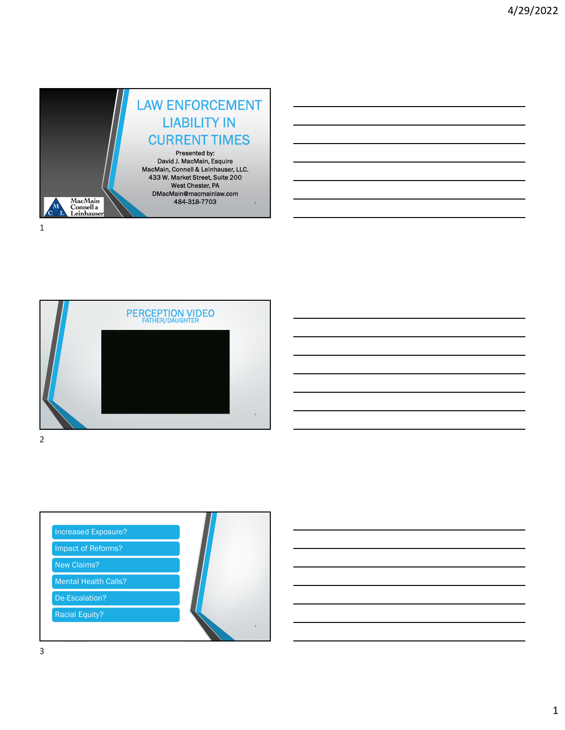





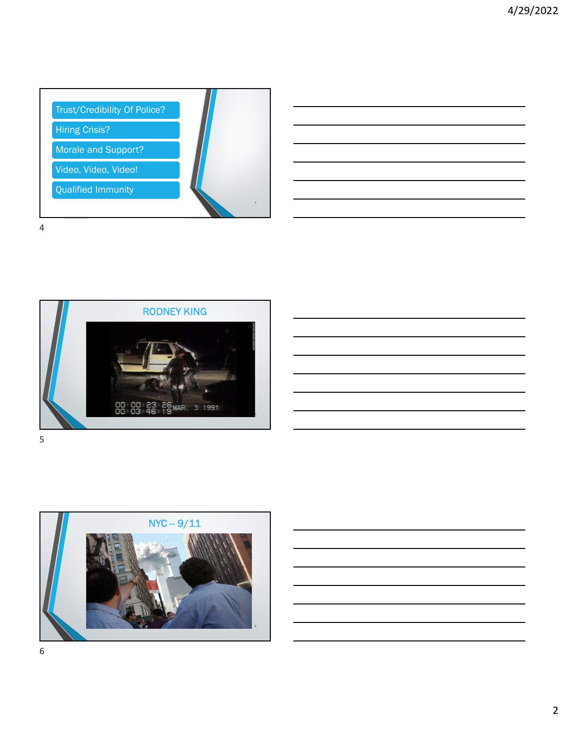









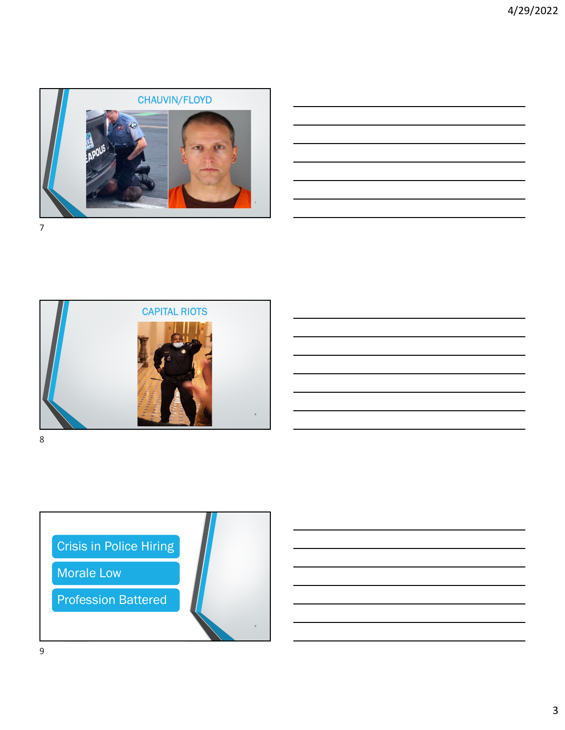





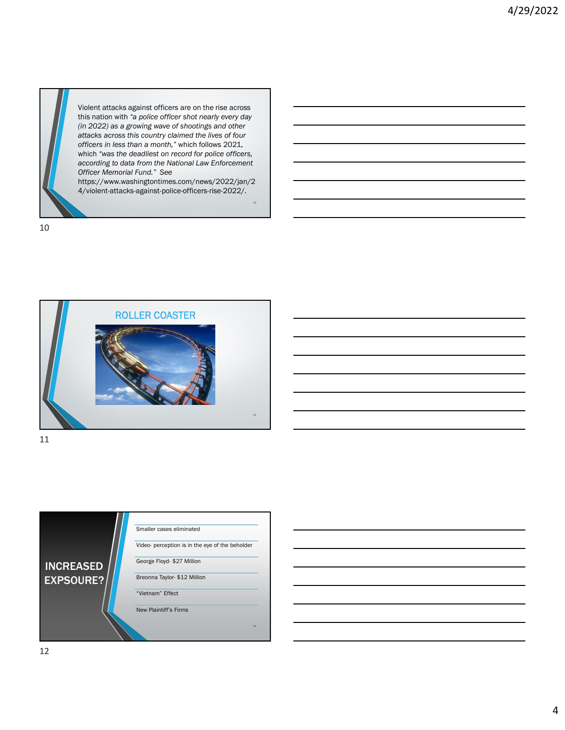

Violent attacks against officers are on the rise across this nation with "a police officer shot nearly every day (in 2022) as a growing wave of shootings and other attacks across this country claimed the lives of four officers in less than a month," which follows 2021, which "was the deadliest on record for police officers, according to data from the National Law Enforcement Officer Memorial Fund." See

https://www.washingtontimes.com/news/2022/jan/2 4/violent-attacks-against-police-officers-rise-2022/.

10



11



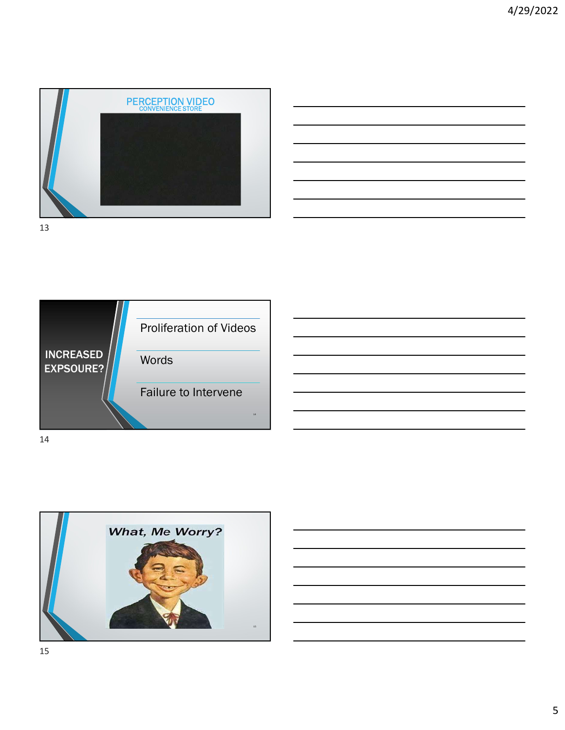

| <u> 1989 - Johann Stoff, deutscher Stoffen und der Stoffen und der Stoffen und der Stoffen und der Stoffen und der</u> |  |  |
|------------------------------------------------------------------------------------------------------------------------|--|--|
| <u> 1989 - Johann Barn, mars and de Brazilian (b. 1989)</u>                                                            |  |  |
| <u> 1989 - Johann Barn, mars ann an t-Amhainn an t-Amhainn an t-Amhainn an t-Amhainn an t-Amhainn an t-Amhainn an </u> |  |  |
| <u> 1989 - Andrea Andrew Maria (h. 1989).</u>                                                                          |  |  |
| <u> 1989 - Johann Stoff, deutscher Stoff, der Stoff, der Stoff, der Stoff, der Stoff, der Stoff, der Stoff, der S</u>  |  |  |
|                                                                                                                        |  |  |



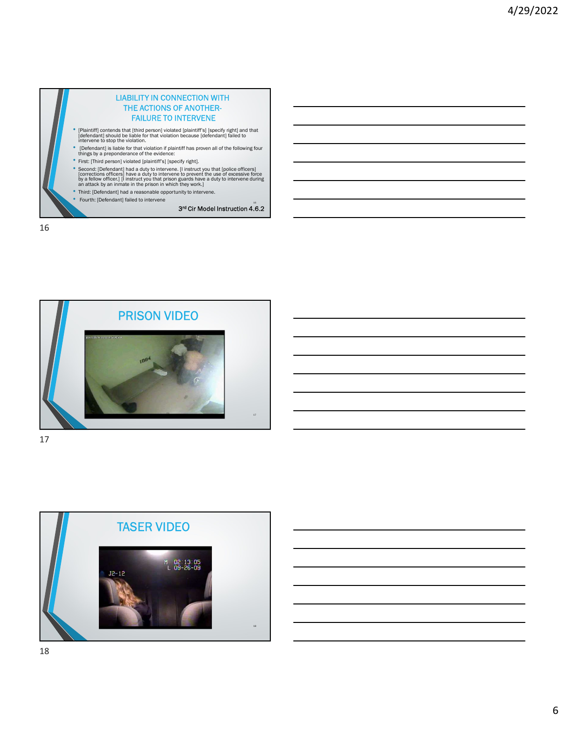



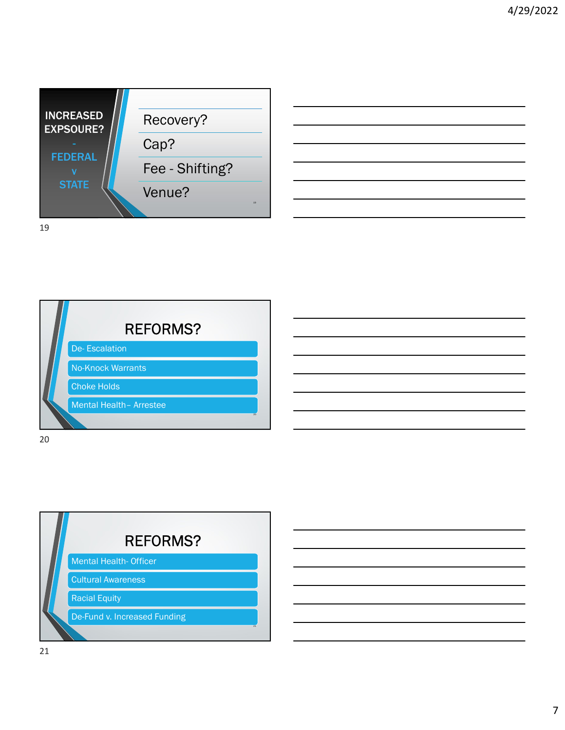





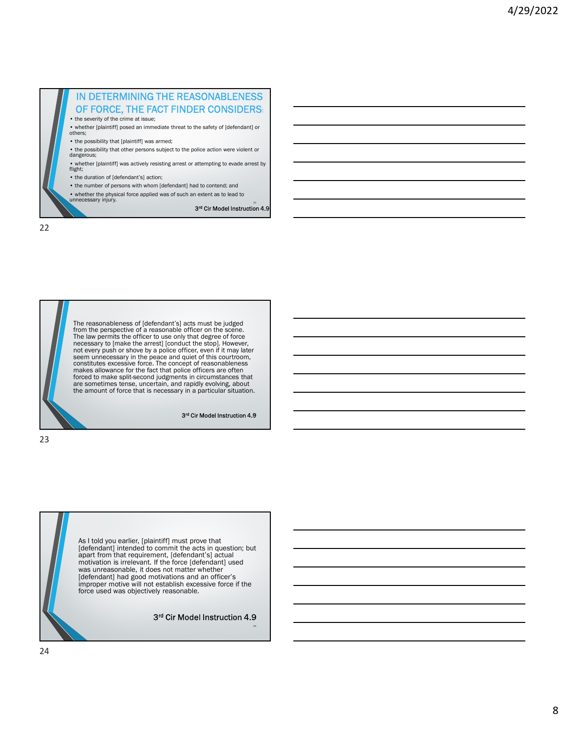



 $3<sup>rd</sup>$  Cir Model Instruction 4.9  $\hskip1cm$ 

23

As I told you earlier, [plaintiff] must prove that  $[defendant]$  intended to commit the acts in question; but  $\overline{\phantom{ab}}$ apart from that requirement, [defendant's] actual motivation is irrelevant. If the force [defendant] used was unreasonable, it does not matter whether [defendant] had good motivations and an officer's improper motive will not establish excessive force if the force used was objectively reasonable.

## 3 rd Cir Model Instruction 4.9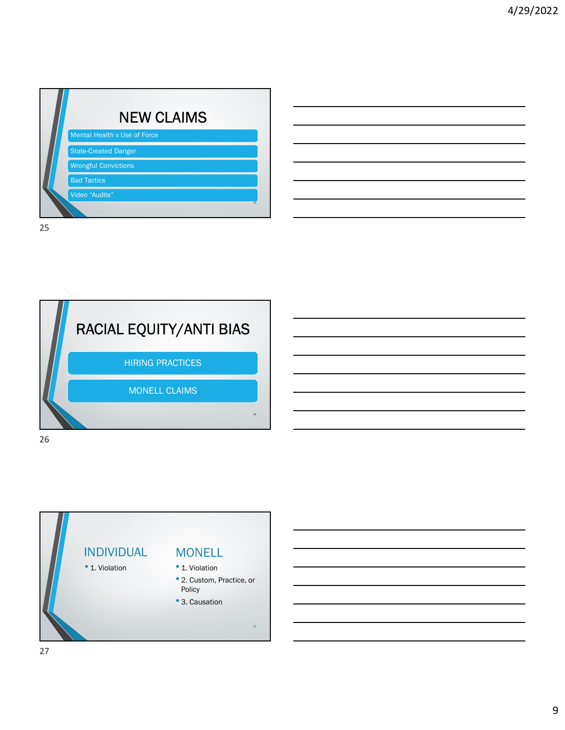|    | <b>NEW CLAIMS</b>            |  |
|----|------------------------------|--|
|    | Mental Health v Use of Force |  |
|    | <b>State-Created Danger</b>  |  |
|    | <b>Wrongful Convictions</b>  |  |
|    | <b>Bad Tactics</b>           |  |
|    | Video "Audits"               |  |
|    | 25                           |  |
| 25 |                              |  |





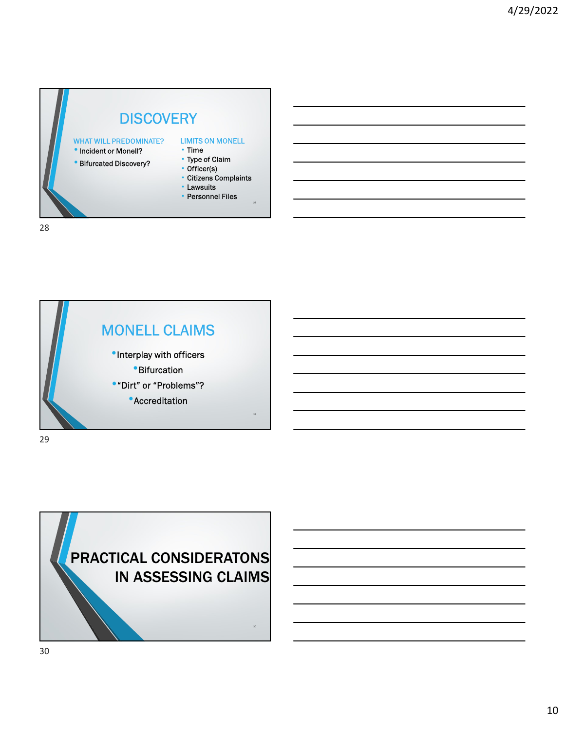## **DISCOVERY**

entianal Microsom Unit of Monell Microsom Monell Microsom of Monell Microsom Monell Microsom Monell Microsom M<br>Microsom Monell? Time WHAT WILL PREDOMINATE?

28

- 
- Bifurcated Discovery?

- Time • Type of Claim
- Officer(s)
- Citizens Complaints
- Lawsuits
- Personnel Files

28

MONELL CLAIMS •Interplay with officers •Bifurcation •"Dirt" or "Problems"? • Accreditation 29 and 29 and 29 and 29 and 29 and 29 and 29 and 29 and 29 and 29 and 29 and 29 and 29 and 201 29

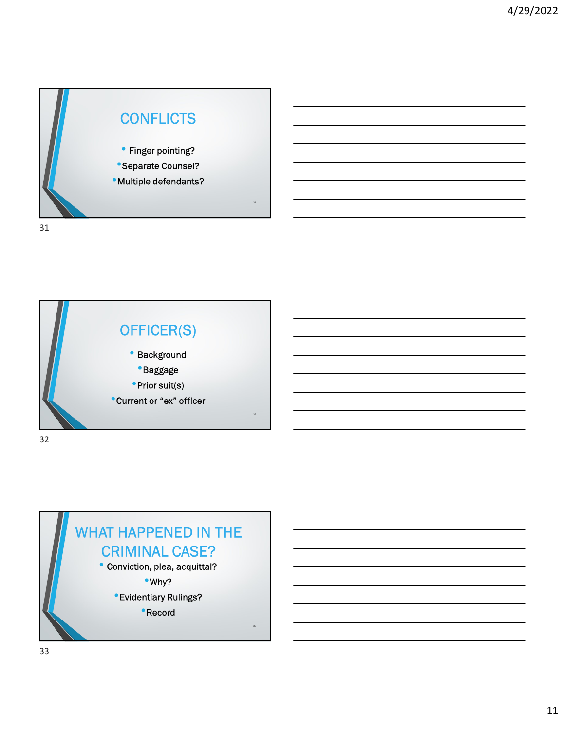



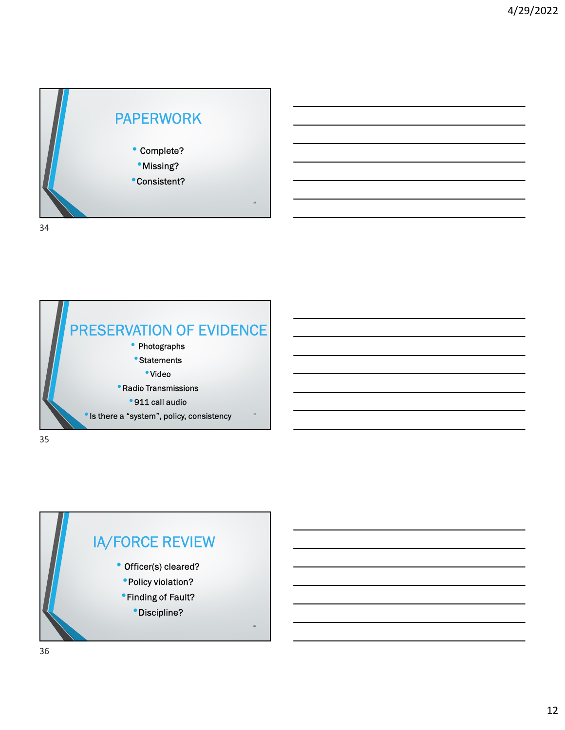



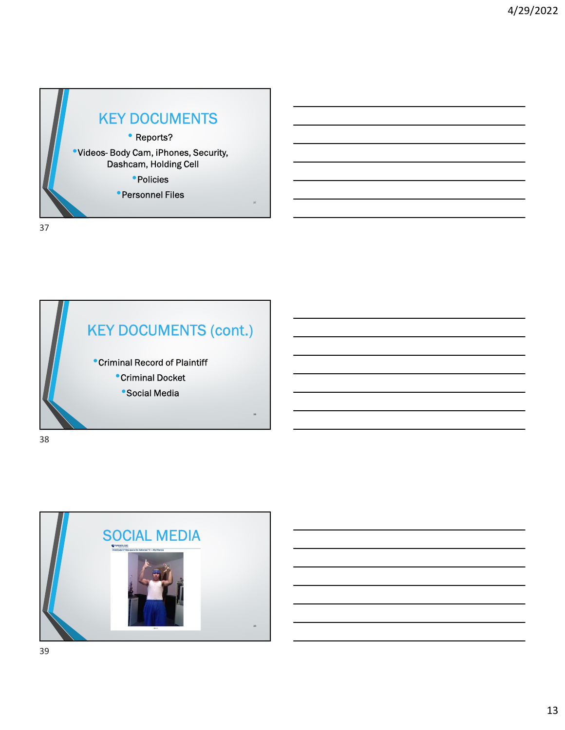

KEY DOCUMENTS (cont.) •Criminal Record of Plaintiff •Criminal Docket •Social Media 38 38

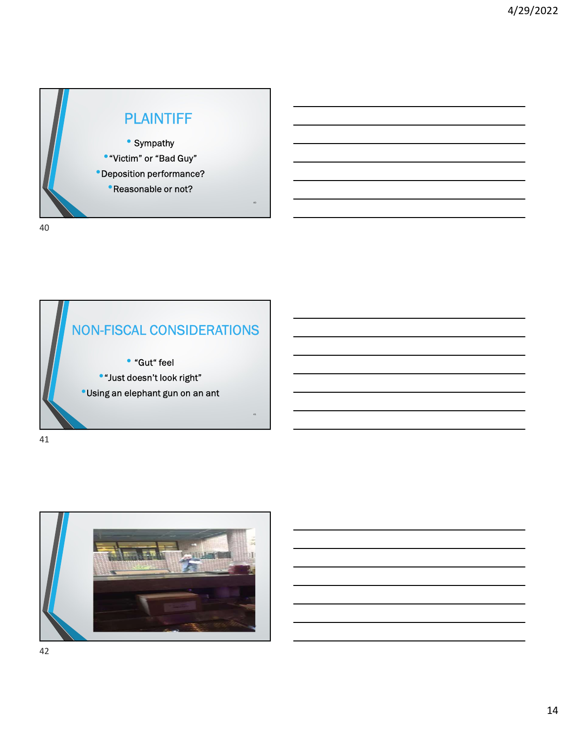



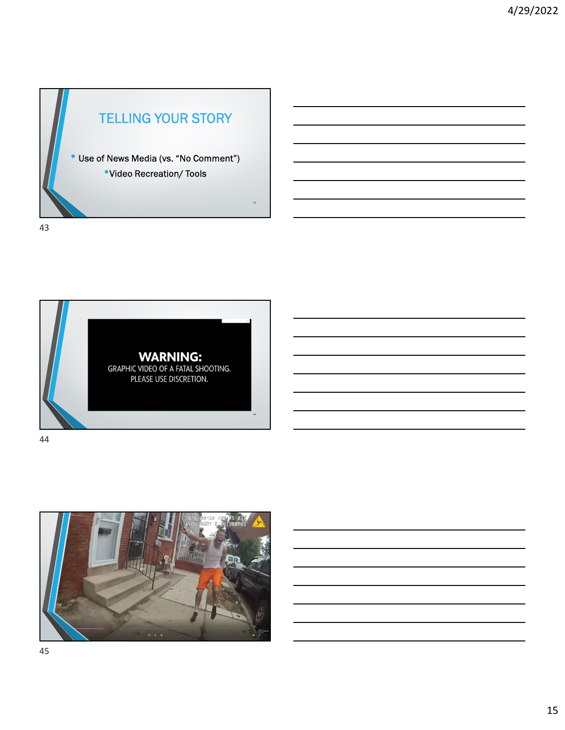



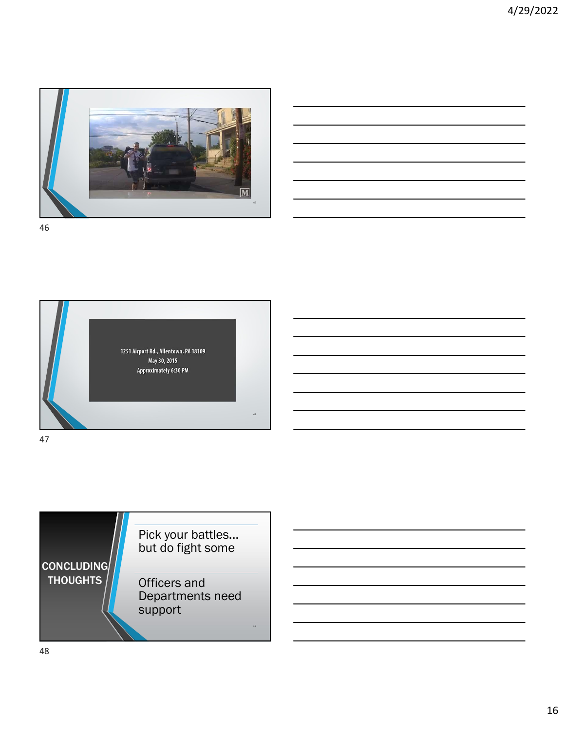

| 46 |  |  |  |
|----|--|--|--|





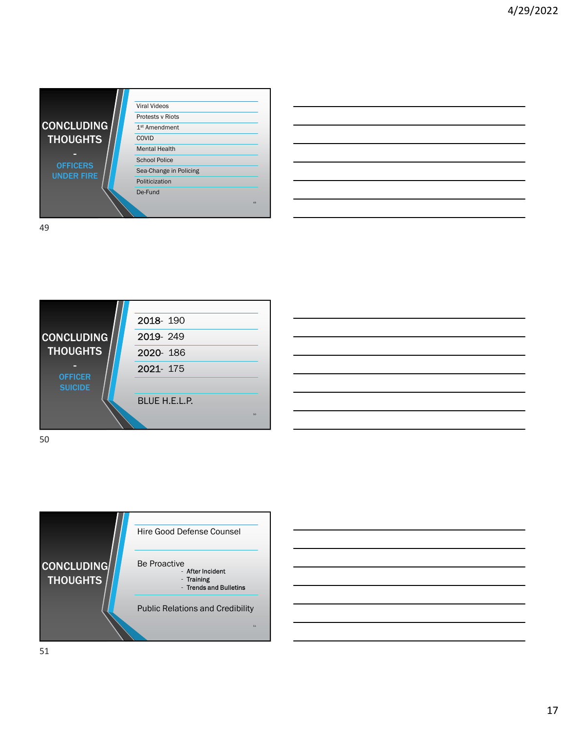